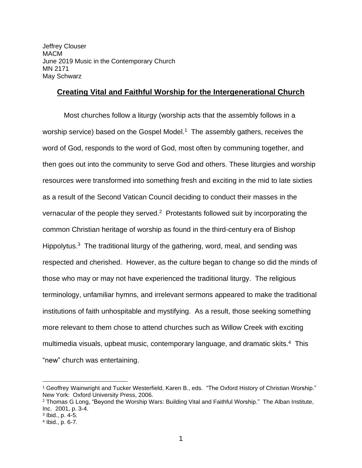Jeffrey Clouser MACM June 2019 Music in the Contemporary Church MN 2171 May Schwarz

## **Creating Vital and Faithful Worship for the Intergenerational Church**

Most churches follow a liturgy (worship acts that the assembly follows in a worship service) based on the Gospel Model.<sup>1</sup> The assembly gathers, receives the word of God, responds to the word of God, most often by communing together, and then goes out into the community to serve God and others. These liturgies and worship resources were transformed into something fresh and exciting in the mid to late sixties as a result of the Second Vatican Council deciding to conduct their masses in the vernacular of the people they served.<sup>2</sup> Protestants followed suit by incorporating the common Christian heritage of worship as found in the third-century era of Bishop Hippolytus.<sup>3</sup> The traditional liturgy of the gathering, word, meal, and sending was respected and cherished. However, as the culture began to change so did the minds of those who may or may not have experienced the traditional liturgy. The religious terminology, unfamiliar hymns, and irrelevant sermons appeared to make the traditional institutions of faith unhospitable and mystifying. As a result, those seeking something more relevant to them chose to attend churches such as Willow Creek with exciting multimedia visuals, upbeat music, contemporary language, and dramatic skits.<sup>4</sup> This "new" church was entertaining.

<sup>1</sup> Geoffrey Wainwright and Tucker Westerfield, Karen B., eds. "The Oxford History of Christian Worship." New York: Oxford University Press, 2006.

<sup>2</sup> Thomas G Long, "Beyond the Worship Wars: Building Vital and Faithful Worship." The Alban Institute, Inc. 2001, p. 3-4.

<sup>3</sup> Ibid., p. 4-5.

<sup>4</sup> Ibid., p. 6-7.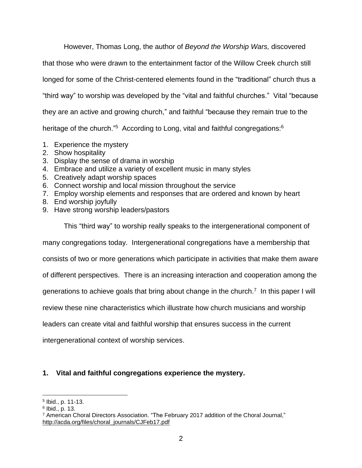However, Thomas Long, the author of *Beyond the Worship Wars,* discovered

that those who were drawn to the entertainment factor of the Willow Creek church still

longed for some of the Christ-centered elements found in the "traditional" church thus a

"third way" to worship was developed by the "vital and faithful churches." Vital "because

they are an active and growing church," and faithful "because they remain true to the

heritage of the church."<sup>5</sup> According to Long, vital and faithful congregations:<sup>6</sup>

- 1. Experience the mystery
- 2. Show hospitality
- 3. Display the sense of drama in worship
- 4. Embrace and utilize a variety of excellent music in many styles
- 5. Creatively adapt worship spaces
- 6. Connect worship and local mission throughout the service
- 7. Employ worship elements and responses that are ordered and known by heart
- 8. End worship joyfully
- 9. Have strong worship leaders/pastors

This "third way" to worship really speaks to the intergenerational component of

many congregations today. Intergenerational congregations have a membership that

consists of two or more generations which participate in activities that make them aware

of different perspectives. There is an increasing interaction and cooperation among the

generations to achieve goals that bring about change in the church.<sup>7</sup> In this paper I will

review these nine characteristics which illustrate how church musicians and worship

leaders can create vital and faithful worship that ensures success in the current

intergenerational context of worship services.

# **1. Vital and faithful congregations experience the mystery.**

<sup>5</sup> Ibid., p. 11-13.

<sup>6</sup> Ibid., p. 13.

<sup>7</sup> American Choral Directors Association. "The February 2017 addition of the Choral Journal," [http://acda.org/files/choral\\_journals/CJFeb17.pdf](http://acda.org/files/choral_journals/CJFeb17.pdf)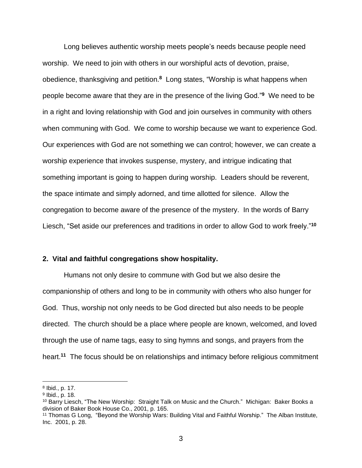Long believes authentic worship meets people's needs because people need worship. We need to join with others in our worshipful acts of devotion, praise, obedience, thanksgiving and petition.**<sup>8</sup>** Long states, "Worship is what happens when people become aware that they are in the presence of the living God."**<sup>9</sup>** We need to be in a right and loving relationship with God and join ourselves in community with others when communing with God. We come to worship because we want to experience God. Our experiences with God are not something we can control; however, we can create a worship experience that invokes suspense, mystery, and intrigue indicating that something important is going to happen during worship. Leaders should be reverent, the space intimate and simply adorned, and time allotted for silence. Allow the congregation to become aware of the presence of the mystery. In the words of Barry Liesch, "Set aside our preferences and traditions in order to allow God to work freely."**<sup>10</sup>**

#### **2. Vital and faithful congregations show hospitality.**

Humans not only desire to commune with God but we also desire the companionship of others and long to be in community with others who also hunger for God. Thus, worship not only needs to be God directed but also needs to be people directed. The church should be a place where people are known, welcomed, and loved through the use of name tags, easy to sing hymns and songs, and prayers from the heart.**<sup>11</sup>** The focus should be on relationships and intimacy before religious commitment

<sup>8</sup> Ibid., p. 17.

<sup>9</sup> Ibid., p. 18.

<sup>10</sup> Barry Liesch, "The New Worship: Straight Talk on Music and the Church." Michigan: Baker Books a division of Baker Book House Co., 2001, p. 165.

<sup>11</sup> Thomas G Long, "Beyond the Worship Wars: Building Vital and Faithful Worship." The Alban Institute, Inc. 2001, p. 28.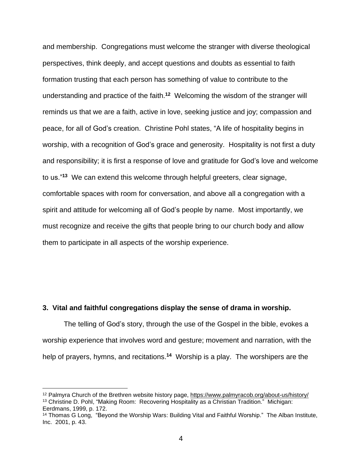and membership. Congregations must welcome the stranger with diverse theological perspectives, think deeply, and accept questions and doubts as essential to faith formation trusting that each person has something of value to contribute to the understanding and practice of the faith.**<sup>12</sup>** Welcoming the wisdom of the stranger will reminds us that we are a faith, active in love, seeking justice and joy; compassion and peace, for all of God's creation. Christine Pohl states, "A life of hospitality begins in worship, with a recognition of God's grace and generosity. Hospitality is not first a duty and responsibility; it is first a response of love and gratitude for God's love and welcome to us."**<sup>13</sup>** We can extend this welcome through helpful greeters, clear signage, comfortable spaces with room for conversation, and above all a congregation with a spirit and attitude for welcoming all of God's people by name. Most importantly, we must recognize and receive the gifts that people bring to our church body and allow them to participate in all aspects of the worship experience.

#### **3. Vital and faithful congregations display the sense of drama in worship.**

The telling of God's story, through the use of the Gospel in the bible, evokes a worship experience that involves word and gesture; movement and narration, with the help of prayers, hymns, and recitations.<sup>14</sup> Worship is a play. The worshipers are the

<sup>12</sup> Palmyra Church of the Brethren website history page, <https://www.palmyracob.org/about-us/history/> <sup>13</sup> Christine D. Pohl, "Making Room: Recovering Hospitality as a Christian Tradition." Michigan: Eerdmans, 1999, p. 172.

<sup>&</sup>lt;sup>14</sup> Thomas G Long, "Beyond the Worship Wars: Building Vital and Faithful Worship." The Alban Institute, Inc. 2001, p. 43.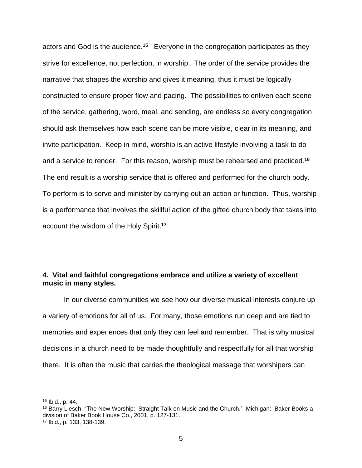actors and God is the audience.**<sup>15</sup>** Everyone in the congregation participates as they strive for excellence, not perfection, in worship. The order of the service provides the narrative that shapes the worship and gives it meaning, thus it must be logically constructed to ensure proper flow and pacing. The possibilities to enliven each scene of the service, gathering, word, meal, and sending, are endless so every congregation should ask themselves how each scene can be more visible, clear in its meaning, and invite participation. Keep in mind, worship is an active lifestyle involving a task to do and a service to render. For this reason, worship must be rehearsed and practiced.**<sup>16</sup>** The end result is a worship service that is offered and performed for the church body. To perform is to serve and minister by carrying out an action or function. Thus, worship is a performance that involves the skillful action of the gifted church body that takes into account the wisdom of the Holy Spirit.**<sup>17</sup>**

# **4. Vital and faithful congregations embrace and utilize a variety of excellent music in many styles.**

In our diverse communities we see how our diverse musical interests conjure up a variety of emotions for all of us. For many, those emotions run deep and are tied to memories and experiences that only they can feel and remember. That is why musical decisions in a church need to be made thoughtfully and respectfully for all that worship there. It is often the music that carries the theological message that worshipers can

<sup>15</sup> Ibid., p. 44.

<sup>&</sup>lt;sup>16</sup> Barry Liesch, "The New Worship: Straight Talk on Music and the Church." Michigan: Baker Books a division of Baker Book House Co., 2001, p. 127-131.

<sup>17</sup> Ibid., p. 133, 138-139.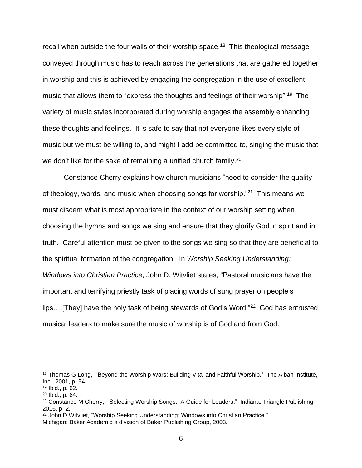recall when outside the four walls of their worship space.<sup>18</sup> This theological message conveyed through music has to reach across the generations that are gathered together in worship and this is achieved by engaging the congregation in the use of excellent music that allows them to "express the thoughts and feelings of their worship".<sup>19</sup> The variety of music styles incorporated during worship engages the assembly enhancing these thoughts and feelings. It is safe to say that not everyone likes every style of music but we must be willing to, and might I add be committed to, singing the music that we don't like for the sake of remaining a unified church family.<sup>20</sup>

Constance Cherry explains how church musicians "need to consider the quality of theology, words, and music when choosing songs for worship."<sup>21</sup> This means we must discern what is most appropriate in the context of our worship setting when choosing the hymns and songs we sing and ensure that they glorify God in spirit and in truth. Careful attention must be given to the songs we sing so that they are beneficial to the spiritual formation of the congregation. In *Worship Seeking Understanding: Windows into Christian Practice*, John D. Witvliet states, "Pastoral musicians have the important and terrifying priestly task of placing words of sung prayer on people's lips....[They] have the holy task of being stewards of God's Word."<sup>22</sup> God has entrusted musical leaders to make sure the music of worship is of God and from God.

<sup>&</sup>lt;sup>18</sup> Thomas G Long, "Beyond the Worship Wars: Building Vital and Faithful Worship." The Alban Institute, Inc. 2001, p. 54.

<sup>19</sup> Ibid., p. 62.

<sup>20</sup> Ibid., p. 64.

<sup>21</sup> Constance M Cherry, "Selecting Worship Songs: A Guide for Leaders." Indiana: Triangle Publishing, 2016, p. 2.

<sup>&</sup>lt;sup>22</sup> John D Witvliet, "Worship Seeking Understanding: Windows into Christian Practice."

Michigan: Baker Academic a division of Baker Publishing Group, 2003.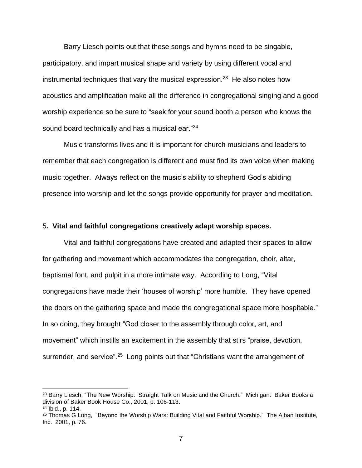Barry Liesch points out that these songs and hymns need to be singable, participatory, and impart musical shape and variety by using different vocal and instrumental techniques that vary the musical expression.<sup>23</sup> He also notes how acoustics and amplification make all the difference in congregational singing and a good worship experience so be sure to "seek for your sound booth a person who knows the sound board technically and has a musical ear."<sup>24</sup>

Music transforms lives and it is important for church musicians and leaders to remember that each congregation is different and must find its own voice when making music together. Always reflect on the music's ability to shepherd God's abiding presence into worship and let the songs provide opportunity for prayer and meditation.

#### 5**. Vital and faithful congregations creatively adapt worship spaces.**

Vital and faithful congregations have created and adapted their spaces to allow for gathering and movement which accommodates the congregation, choir, altar, baptismal font, and pulpit in a more intimate way. According to Long, "Vital congregations have made their 'houses of worship' more humble. They have opened the doors on the gathering space and made the congregational space more hospitable." In so doing, they brought "God closer to the assembly through color, art, and movement" which instills an excitement in the assembly that stirs "praise, devotion, surrender, and service".<sup>25</sup> Long points out that "Christians want the arrangement of

<sup>&</sup>lt;sup>23</sup> Barry Liesch, "The New Worship: Straight Talk on Music and the Church." Michigan: Baker Books a division of Baker Book House Co., 2001, p. 106-113. <sup>24</sup> Ibid., p. 114.

<sup>&</sup>lt;sup>25</sup> Thomas G Long, "Beyond the Worship Wars: Building Vital and Faithful Worship." The Alban Institute, Inc. 2001, p. 76.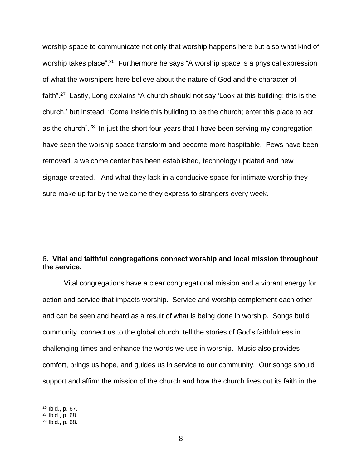worship space to communicate not only that worship happens here but also what kind of worship takes place".<sup>26</sup> Furthermore he says "A worship space is a physical expression of what the worshipers here believe about the nature of God and the character of faith".<sup>27</sup> Lastly, Long explains "A church should not say 'Look at this building; this is the church,' but instead, 'Come inside this building to be the church; enter this place to act as the church".<sup>28</sup> In just the short four years that I have been serving my congregation I have seen the worship space transform and become more hospitable. Pews have been removed, a welcome center has been established, technology updated and new signage created. And what they lack in a conducive space for intimate worship they sure make up for by the welcome they express to strangers every week.

## 6**. Vital and faithful congregations connect worship and local mission throughout the service.**

Vital congregations have a clear congregational mission and a vibrant energy for action and service that impacts worship. Service and worship complement each other and can be seen and heard as a result of what is being done in worship. Songs build community, connect us to the global church, tell the stories of God's faithfulness in challenging times and enhance the words we use in worship. Music also provides comfort, brings us hope, and guides us in service to our community. Our songs should support and affirm the mission of the church and how the church lives out its faith in the

<sup>26</sup> Ibid., p. 67.

<sup>27</sup> Ibid., p. 68.

<sup>28</sup> Ibid., p. 68.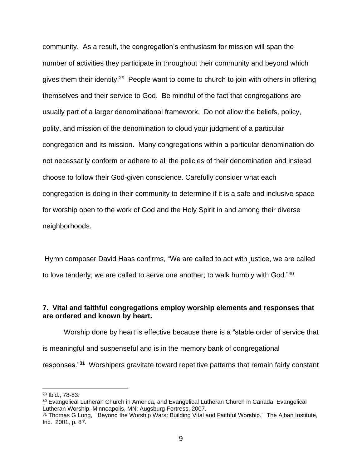community. As a result, the congregation's enthusiasm for mission will span the number of activities they participate in throughout their community and beyond which gives them their identity.<sup>29</sup> People want to come to church to join with others in offering themselves and their service to God. Be mindful of the fact that congregations are usually part of a larger denominational framework. Do not allow the beliefs, policy, polity, and mission of the denomination to cloud your judgment of a particular congregation and its mission. Many congregations within a particular denomination do not necessarily conform or adhere to all the policies of their denomination and instead choose to follow their God-given conscience. Carefully consider what each congregation is doing in their community to determine if it is a safe and inclusive space for worship open to the work of God and the Holy Spirit in and among their diverse neighborhoods.

Hymn composer David Haas confirms, "We are called to act with justice, we are called to love tenderly; we are called to serve one another; to walk humbly with God." $30$ 

### **7. Vital and faithful congregations employ worship elements and responses that are ordered and known by heart.**

Worship done by heart is effective because there is a "stable order of service that is meaningful and suspenseful and is in the memory bank of congregational responses."**<sup>31</sup>** Worshipers gravitate toward repetitive patterns that remain fairly constant

<sup>29</sup> Ibid., 78-83.

<sup>30</sup> Evangelical Lutheran Church in America, and Evangelical Lutheran Church in Canada. Evangelical Lutheran Worship. Minneapolis, MN: Augsburg Fortress, 2007.

<sup>&</sup>lt;sup>31</sup> Thomas G Long, "Beyond the Worship Wars: Building Vital and Faithful Worship." The Alban Institute, Inc. 2001, p. 87.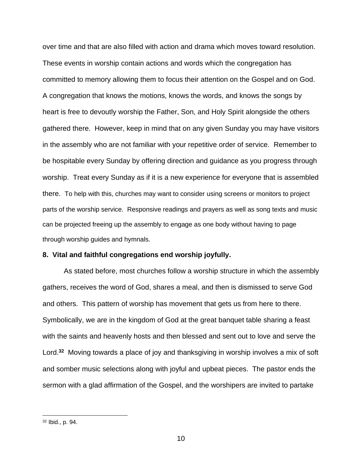over time and that are also filled with action and drama which moves toward resolution. These events in worship contain actions and words which the congregation has committed to memory allowing them to focus their attention on the Gospel and on God. A congregation that knows the motions, knows the words, and knows the songs by heart is free to devoutly worship the Father, Son, and Holy Spirit alongside the others gathered there. However, keep in mind that on any given Sunday you may have visitors in the assembly who are not familiar with your repetitive order of service. Remember to be hospitable every Sunday by offering direction and guidance as you progress through worship. Treat every Sunday as if it is a new experience for everyone that is assembled there. To help with this, churches may want to consider using screens or monitors to project parts of the worship service. Responsive readings and prayers as well as song texts and music can be projected freeing up the assembly to engage as one body without having to page through worship guides and hymnals.

### **8. Vital and faithful congregations end worship joyfully.**

As stated before, most churches follow a worship structure in which the assembly gathers, receives the word of God, shares a meal, and then is dismissed to serve God and others. This pattern of worship has movement that gets us from here to there. Symbolically, we are in the kingdom of God at the great banquet table sharing a feast with the saints and heavenly hosts and then blessed and sent out to love and serve the Lord.**<sup>32</sup>** Moving towards a place of joy and thanksgiving in worship involves a mix of soft and somber music selections along with joyful and upbeat pieces. The pastor ends the sermon with a glad affirmation of the Gospel, and the worshipers are invited to partake

<sup>32</sup> Ibid., p. 94.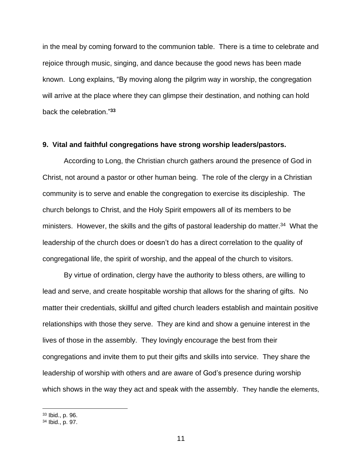in the meal by coming forward to the communion table. There is a time to celebrate and rejoice through music, singing, and dance because the good news has been made known. Long explains, "By moving along the pilgrim way in worship, the congregation will arrive at the place where they can glimpse their destination, and nothing can hold back the celebration."**<sup>33</sup>**

#### **9. Vital and faithful congregations have strong worship leaders/pastors.**

According to Long, the Christian church gathers around the presence of God in Christ, not around a pastor or other human being. The role of the clergy in a Christian community is to serve and enable the congregation to exercise its discipleship. The church belongs to Christ, and the Holy Spirit empowers all of its members to be ministers. However, the skills and the gifts of pastoral leadership do matter.<sup>34</sup> What the leadership of the church does or doesn't do has a direct correlation to the quality of congregational life, the spirit of worship, and the appeal of the church to visitors.

By virtue of ordination, clergy have the authority to bless others, are willing to lead and serve, and create hospitable worship that allows for the sharing of gifts. No matter their credentials, skillful and gifted church leaders establish and maintain positive relationships with those they serve. They are kind and show a genuine interest in the lives of those in the assembly. They lovingly encourage the best from their congregations and invite them to put their gifts and skills into service. They share the leadership of worship with others and are aware of God's presence during worship which shows in the way they act and speak with the assembly. They handle the elements,

<sup>33</sup> Ibid., p. 96.

<sup>34</sup> Ibid., p. 97.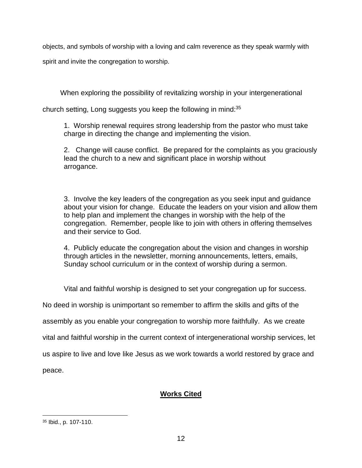objects, and symbols of worship with a loving and calm reverence as they speak warmly with

spirit and invite the congregation to worship.

When exploring the possibility of revitalizing worship in your intergenerational

church setting, Long suggests you keep the following in mind:<sup>35</sup>

1. Worship renewal requires strong leadership from the pastor who must take charge in directing the change and implementing the vision.

2. Change will cause conflict. Be prepared for the complaints as you graciously lead the church to a new and significant place in worship without arrogance.

3. Involve the key leaders of the congregation as you seek input and guidance about your vision for change. Educate the leaders on your vision and allow them to help plan and implement the changes in worship with the help of the congregation. Remember, people like to join with others in offering themselves and their service to God.

4. Publicly educate the congregation about the vision and changes in worship through articles in the newsletter, morning announcements, letters, emails, Sunday school curriculum or in the context of worship during a sermon.

Vital and faithful worship is designed to set your congregation up for success.

No deed in worship is unimportant so remember to affirm the skills and gifts of the

assembly as you enable your congregation to worship more faithfully. As we create

vital and faithful worship in the current context of intergenerational worship services, let

us aspire to live and love like Jesus as we work towards a world restored by grace and

peace.

# **Works Cited**

<sup>35</sup> Ibid., p. 107-110.